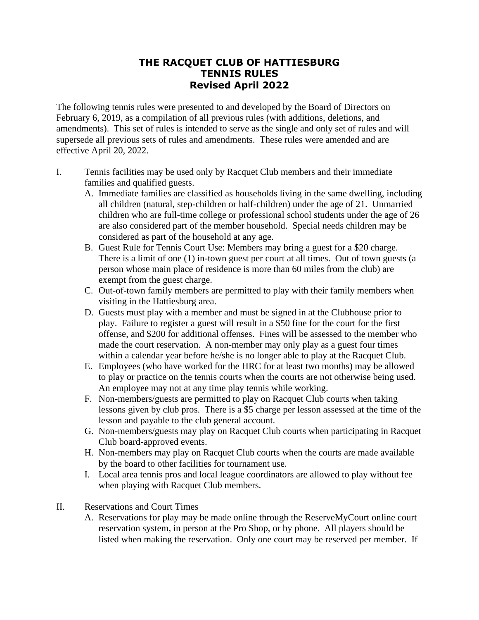## **THE RACQUET CLUB OF HATTIESBURG TENNIS RULES Revised April 2022**

The following tennis rules were presented to and developed by the Board of Directors on February 6, 2019, as a compilation of all previous rules (with additions, deletions, and amendments). This set of rules is intended to serve as the single and only set of rules and will supersede all previous sets of rules and amendments. These rules were amended and are effective April 20, 2022.

- I. Tennis facilities may be used only by Racquet Club members and their immediate families and qualified guests.
	- A. Immediate families are classified as households living in the same dwelling, including all children (natural, step-children or half-children) under the age of 21. Unmarried children who are full-time college or professional school students under the age of 26 are also considered part of the member household. Special needs children may be considered as part of the household at any age.
	- B. Guest Rule for Tennis Court Use: Members may bring a guest for a \$20 charge. There is a limit of one (1) in-town guest per court at all times. Out of town guests (a person whose main place of residence is more than 60 miles from the club) are exempt from the guest charge.
	- C. Out-of-town family members are permitted to play with their family members when visiting in the Hattiesburg area.
	- D. Guests must play with a member and must be signed in at the Clubhouse prior to play. Failure to register a guest will result in a \$50 fine for the court for the first offense, and \$200 for additional offenses. Fines will be assessed to the member who made the court reservation. A non-member may only play as a guest four times within a calendar year before he/she is no longer able to play at the Racquet Club.
	- E. Employees (who have worked for the HRC for at least two months) may be allowed to play or practice on the tennis courts when the courts are not otherwise being used. An employee may not at any time play tennis while working.
	- F. Non-members/guests are permitted to play on Racquet Club courts when taking lessons given by club pros. There is a \$5 charge per lesson assessed at the time of the lesson and payable to the club general account.
	- G. Non-members/guests may play on Racquet Club courts when participating in Racquet Club board-approved events.
	- H. Non-members may play on Racquet Club courts when the courts are made available by the board to other facilities for tournament use.
	- I. Local area tennis pros and local league coordinators are allowed to play without fee when playing with Racquet Club members.
- II. Reservations and Court Times
	- A. Reservations for play may be made online through the ReserveMyCourt online court reservation system, in person at the Pro Shop, or by phone. All players should be listed when making the reservation. Only one court may be reserved per member. If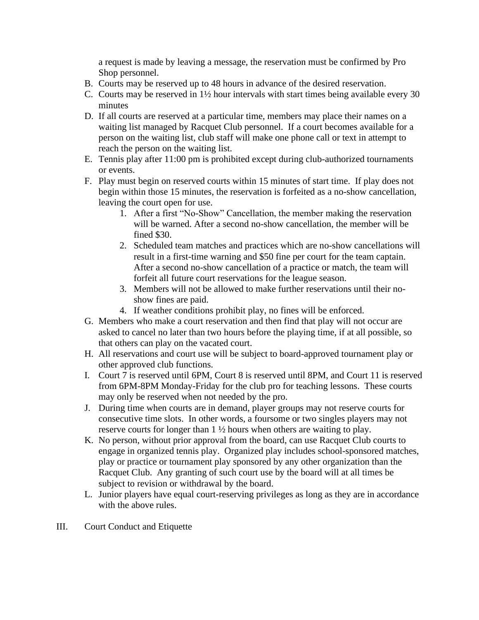a request is made by leaving a message, the reservation must be confirmed by Pro Shop personnel.

- B. Courts may be reserved up to 48 hours in advance of the desired reservation.
- C. Courts may be reserved in 1½ hour intervals with start times being available every 30 minutes
- D. If all courts are reserved at a particular time, members may place their names on a waiting list managed by Racquet Club personnel. If a court becomes available for a person on the waiting list, club staff will make one phone call or text in attempt to reach the person on the waiting list.
- E. Tennis play after 11:00 pm is prohibited except during club-authorized tournaments or events.
- F. Play must begin on reserved courts within 15 minutes of start time. If play does not begin within those 15 minutes, the reservation is forfeited as a no-show cancellation, leaving the court open for use.
	- 1. After a first "No-Show" Cancellation, the member making the reservation will be warned. After a second no-show cancellation, the member will be fined \$30.
	- 2. Scheduled team matches and practices which are no-show cancellations will result in a first-time warning and \$50 fine per court for the team captain. After a second no-show cancellation of a practice or match, the team will forfeit all future court reservations for the league season.
	- 3. Members will not be allowed to make further reservations until their noshow fines are paid.
	- 4. If weather conditions prohibit play, no fines will be enforced.
- G. Members who make a court reservation and then find that play will not occur are asked to cancel no later than two hours before the playing time, if at all possible, so that others can play on the vacated court.
- H. All reservations and court use will be subject to board-approved tournament play or other approved club functions.
- I. Court 7 is reserved until 6PM, Court 8 is reserved until 8PM, and Court 11 is reserved from 6PM-8PM Monday-Friday for the club pro for teaching lessons. These courts may only be reserved when not needed by the pro.
- J. During time when courts are in demand, player groups may not reserve courts for consecutive time slots. In other words, a foursome or two singles players may not reserve courts for longer than 1 ½ hours when others are waiting to play.
- K. No person, without prior approval from the board, can use Racquet Club courts to engage in organized tennis play. Organized play includes school-sponsored matches, play or practice or tournament play sponsored by any other organization than the Racquet Club. Any granting of such court use by the board will at all times be subject to revision or withdrawal by the board.
- L. Junior players have equal court-reserving privileges as long as they are in accordance with the above rules.
- III. Court Conduct and Etiquette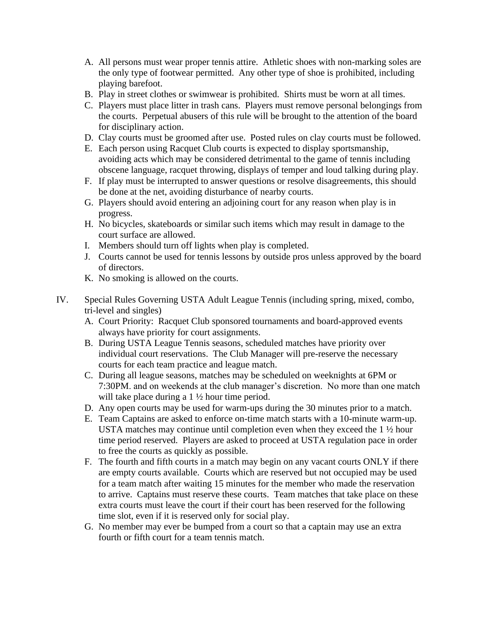- A. All persons must wear proper tennis attire. Athletic shoes with non-marking soles are the only type of footwear permitted. Any other type of shoe is prohibited, including playing barefoot.
- B. Play in street clothes or swimwear is prohibited. Shirts must be worn at all times.
- C. Players must place litter in trash cans. Players must remove personal belongings from the courts. Perpetual abusers of this rule will be brought to the attention of the board for disciplinary action.
- D. Clay courts must be groomed after use. Posted rules on clay courts must be followed.
- E. Each person using Racquet Club courts is expected to display sportsmanship, avoiding acts which may be considered detrimental to the game of tennis including obscene language, racquet throwing, displays of temper and loud talking during play.
- F. If play must be interrupted to answer questions or resolve disagreements, this should be done at the net, avoiding disturbance of nearby courts.
- G. Players should avoid entering an adjoining court for any reason when play is in progress.
- H. No bicycles, skateboards or similar such items which may result in damage to the court surface are allowed.
- I. Members should turn off lights when play is completed.
- J. Courts cannot be used for tennis lessons by outside pros unless approved by the board of directors.
- K. No smoking is allowed on the courts.
- IV. Special Rules Governing USTA Adult League Tennis (including spring, mixed, combo, tri-level and singles)
	- A. Court Priority: Racquet Club sponsored tournaments and board-approved events always have priority for court assignments.
	- B. During USTA League Tennis seasons, scheduled matches have priority over individual court reservations. The Club Manager will pre-reserve the necessary courts for each team practice and league match.
	- C. During all league seasons, matches may be scheduled on weeknights at 6PM or 7:30PM. and on weekends at the club manager's discretion. No more than one match will take place during a 1 <sup>1</sup>/<sub>2</sub> hour time period.
	- D. Any open courts may be used for warm-ups during the 30 minutes prior to a match.
	- E. Team Captains are asked to enforce on-time match starts with a 10-minute warm-up. USTA matches may continue until completion even when they exceed the  $1 \frac{1}{2}$  hour time period reserved. Players are asked to proceed at USTA regulation pace in order to free the courts as quickly as possible.
	- F. The fourth and fifth courts in a match may begin on any vacant courts ONLY if there are empty courts available. Courts which are reserved but not occupied may be used for a team match after waiting 15 minutes for the member who made the reservation to arrive. Captains must reserve these courts. Team matches that take place on these extra courts must leave the court if their court has been reserved for the following time slot, even if it is reserved only for social play.
	- G. No member may ever be bumped from a court so that a captain may use an extra fourth or fifth court for a team tennis match.